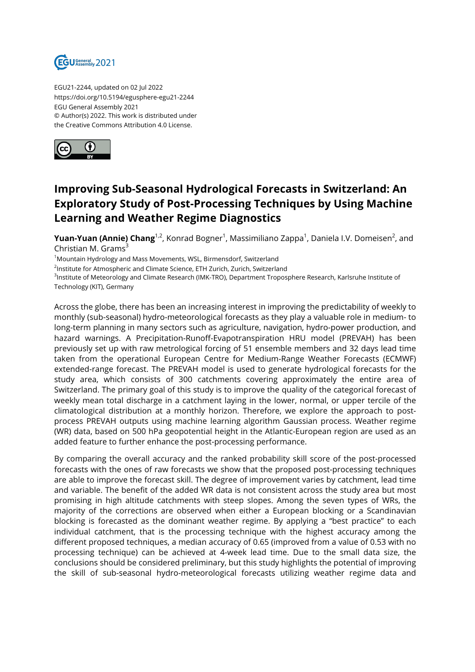

EGU21-2244, updated on 02 Jul 2022 https://doi.org/10.5194/egusphere-egu21-2244 EGU General Assembly 2021 © Author(s) 2022. This work is distributed under the Creative Commons Attribution 4.0 License.



## **Improving Sub-Seasonal Hydrological Forecasts in Switzerland: An Exploratory Study of Post-Processing Techniques by Using Machine Learning and Weather Regime Diagnostics**

**Yuan-Yuan (Annie) Chang<sup>1,2</sup>,** Konrad Bogner<sup>1</sup>, Massimiliano Zappa<sup>1</sup>, Daniela I.V. Domeisen<sup>2</sup>, and Christian M. Grams $3$ 

<sup>1</sup>Mountain Hydrology and Mass Movements, WSL, Birmensdorf, Switzerland

<sup>2</sup>Institute for Atmospheric and Climate Science, ETH Zurich, Zurich, Switzerland

<sup>3</sup>Institute of Meteorology and Climate Research (IMK-TRO), Department Troposphere Research, Karlsruhe Institute of Technology (KIT), Germany

Across the globe, there has been an increasing interest in improving the predictability of weekly to monthly (sub-seasonal) hydro-meteorological forecasts as they play a valuable role in medium- to long-term planning in many sectors such as agriculture, navigation, hydro-power production, and hazard warnings. A Precipitation-Runoff-Evapotranspiration HRU model (PREVAH) has been previously set up with raw metrological forcing of 51 ensemble members and 32 days lead time taken from the operational European Centre for Medium-Range Weather Forecasts (ECMWF) extended-range forecast. The PREVAH model is used to generate hydrological forecasts for the study area, which consists of 300 catchments covering approximately the entire area of Switzerland. The primary goal of this study is to improve the quality of the categorical forecast of weekly mean total discharge in a catchment laying in the lower, normal, or upper tercile of the climatological distribution at a monthly horizon. Therefore, we explore the approach to postprocess PREVAH outputs using machine learning algorithm Gaussian process. Weather regime (WR) data, based on 500 hPa geopotential height in the Atlantic-European region are used as an added feature to further enhance the post-processing performance.

By comparing the overall accuracy and the ranked probability skill score of the post-processed forecasts with the ones of raw forecasts we show that the proposed post-processing techniques are able to improve the forecast skill. The degree of improvement varies by catchment, lead time and variable. The benefit of the added WR data is not consistent across the study area but most promising in high altitude catchments with steep slopes. Among the seven types of WRs, the majority of the corrections are observed when either a European blocking or a Scandinavian blocking is forecasted as the dominant weather regime. By applying a "best practice" to each individual catchment, that is the processing technique with the highest accuracy among the different proposed techniques, a median accuracy of 0.65 (improved from a value of 0.53 with no processing technique) can be achieved at 4-week lead time. Due to the small data size, the conclusions should be considered preliminary, but this study highlights the potential of improving the skill of sub-seasonal hydro-meteorological forecasts utilizing weather regime data and